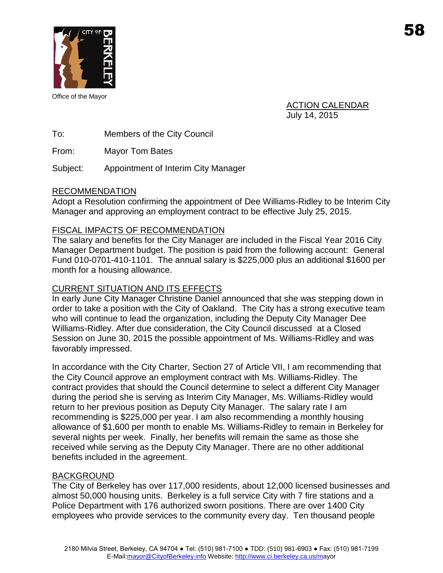

Office of the Mayor

ACTION CALENDAR July 14, 2015

To: Members of the City Council

From: Mayor Tom Bates

Subject: Appointment of Interim City Manager

## RECOMMENDATION

Adopt a Resolution confirming the appointment of Dee Williams-Ridley to be Interim City Manager and approving an employment contract to be effective July 25, 2015.

## FISCAL IMPACTS OF RECOMMENDATION

The salary and benefits for the City Manager are included in the Fiscal Year 2016 City Manager Department budget. The position is paid from the following account: General Fund 010-0701-410-1101. The annual salary is \$225,000 plus an additional \$1600 per month for a housing allowance.

## CURRENT SITUATION AND ITS EFFECTS

In early June City Manager Christine Daniel announced that she was stepping down in order to take a position with the City of Oakland. The City has a strong executive team who will continue to lead the organization, including the Deputy City Manager Dee Williams-Ridley. After due consideration, the City Council discussed at a Closed Session on June 30, 2015 the possible appointment of Ms. Williams-Ridley and was favorably impressed.

In accordance with the City Charter, Section 27 of Article VII, I am recommending that the City Council approve an employment contract with Ms. Williams-Ridley. The contract provides that should the Council determine to select a different City Manager during the period she is serving as Interim City Manager, Ms. Williams-Ridley would return to her previous position as Deputy City Manager. The salary rate I am recommending is \$225,000 per year. I am also recommending a monthly housing allowance of \$1,600 per month to enable Ms. Williams-Ridley to remain in Berkeley for several nights per week. Finally, her benefits will remain the same as those she received while serving as the Deputy City Manager. There are no other additional benefits included in the agreement.

## BACKGROUND

The City of Berkeley has over 117,000 residents, about 12,000 licensed businesses and almost 50,000 housing units. Berkeley is a full service City with 7 fire stations and a Police Department with 176 authorized sworn positions. There are over 1400 City employees who provide services to the community every day. Ten thousand people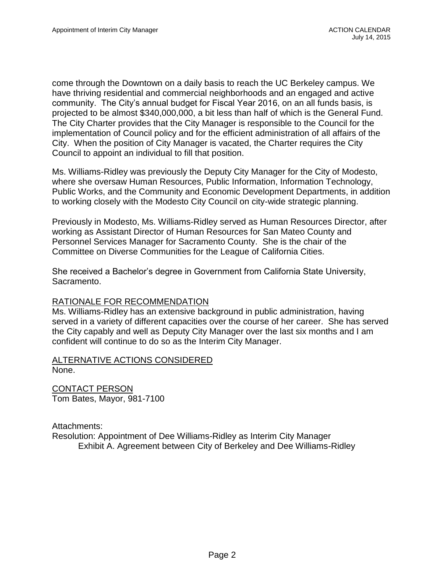come through the Downtown on a daily basis to reach the UC Berkeley campus. We have thriving residential and commercial neighborhoods and an engaged and active community. The City's annual budget for Fiscal Year 2016, on an all funds basis, is projected to be almost \$340,000,000, a bit less than half of which is the General Fund. The City Charter provides that the City Manager is responsible to the Council for the implementation of Council policy and for the efficient administration of all affairs of the City. When the position of City Manager is vacated, the Charter requires the City Council to appoint an individual to fill that position.

Ms. Williams-Ridley was previously the Deputy City Manager for the City of Modesto, where she oversaw Human Resources, Public Information, Information Technology, Public Works, and the Community and Economic Development Departments, in addition to working closely with the Modesto City Council on city-wide strategic planning.

Previously in Modesto, Ms. Williams-Ridley served as Human Resources Director, after working as Assistant Director of Human Resources for San Mateo County and Personnel Services Manager for Sacramento County. She is the chair of the Committee on Diverse Communities for the League of California Cities.

She received a Bachelor's degree in Government from California State University, Sacramento.

## RATIONALE FOR RECOMMENDATION

Ms. Williams-Ridley has an extensive background in public administration, having served in a variety of different capacities over the course of her career. She has served the City capably and well as Deputy City Manager over the last six months and I am confident will continue to do so as the Interim City Manager.

#### ALTERNATIVE ACTIONS CONSIDERED None.

CONTACT PERSON Tom Bates, Mayor, 981-7100

Attachments: Resolution: Appointment of Dee Williams-Ridley as Interim City Manager Exhibit A. Agreement between City of Berkeley and Dee Williams-Ridley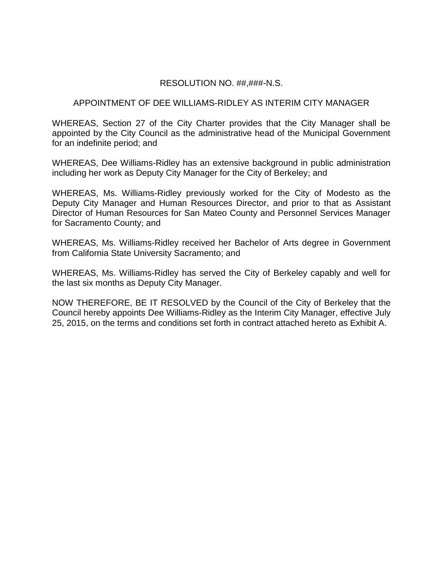### RESOLUTION NO. ##,###-N.S.

#### APPOINTMENT OF DEE WILLIAMS-RIDLEY AS INTERIM CITY MANAGER

WHEREAS, Section 27 of the City Charter provides that the City Manager shall be appointed by the City Council as the administrative head of the Municipal Government for an indefinite period; and

WHEREAS, Dee Williams-Ridley has an extensive background in public administration including her work as Deputy City Manager for the City of Berkeley; and

WHEREAS, Ms. Williams-Ridley previously worked for the City of Modesto as the Deputy City Manager and Human Resources Director, and prior to that as Assistant Director of Human Resources for San Mateo County and Personnel Services Manager for Sacramento County; and

WHEREAS, Ms. Williams-Ridley received her Bachelor of Arts degree in Government from California State University Sacramento; and

WHEREAS, Ms. Williams-Ridley has served the City of Berkeley capably and well for the last six months as Deputy City Manager.

NOW THEREFORE, BE IT RESOLVED by the Council of the City of Berkeley that the Council hereby appoints Dee Williams-Ridley as the Interim City Manager, effective July 25, 2015, on the terms and conditions set forth in contract attached hereto as Exhibit A.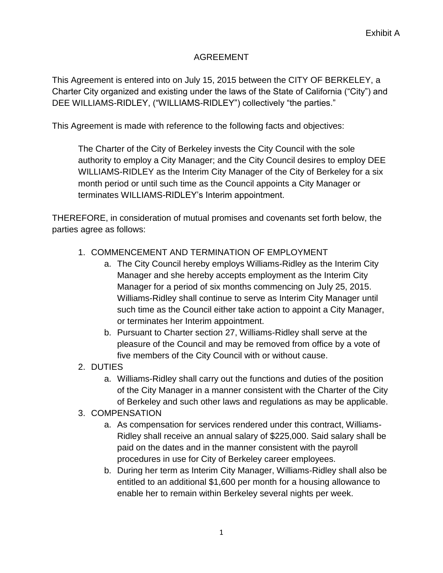# AGREEMENT

This Agreement is entered into on July 15, 2015 between the CITY OF BERKELEY, a Charter City organized and existing under the laws of the State of California ("City") and DEE WILLIAMS-RIDLEY, ("WILLIAMS-RIDLEY") collectively "the parties."

This Agreement is made with reference to the following facts and objectives:

The Charter of the City of Berkeley invests the City Council with the sole authority to employ a City Manager; and the City Council desires to employ DEE WILLIAMS-RIDLEY as the Interim City Manager of the City of Berkeley for a six month period or until such time as the Council appoints a City Manager or terminates WILLIAMS-RIDLEY's Interim appointment.

THEREFORE, in consideration of mutual promises and covenants set forth below, the parties agree as follows:

- 1. COMMENCEMENT AND TERMINATION OF EMPLOYMENT
	- a. The City Council hereby employs Williams-Ridley as the Interim City Manager and she hereby accepts employment as the Interim City Manager for a period of six months commencing on July 25, 2015. Williams-Ridley shall continue to serve as Interim City Manager until such time as the Council either take action to appoint a City Manager, or terminates her Interim appointment.
	- b. Pursuant to Charter section 27, Williams-Ridley shall serve at the pleasure of the Council and may be removed from office by a vote of five members of the City Council with or without cause.
- 2. DUTIES
	- a. Williams-Ridley shall carry out the functions and duties of the position of the City Manager in a manner consistent with the Charter of the City of Berkeley and such other laws and regulations as may be applicable.

# 3. COMPENSATION

- a. As compensation for services rendered under this contract, Williams-Ridley shall receive an annual salary of \$225,000. Said salary shall be paid on the dates and in the manner consistent with the payroll procedures in use for City of Berkeley career employees.
- b. During her term as Interim City Manager, Williams-Ridley shall also be entitled to an additional \$1,600 per month for a housing allowance to enable her to remain within Berkeley several nights per week.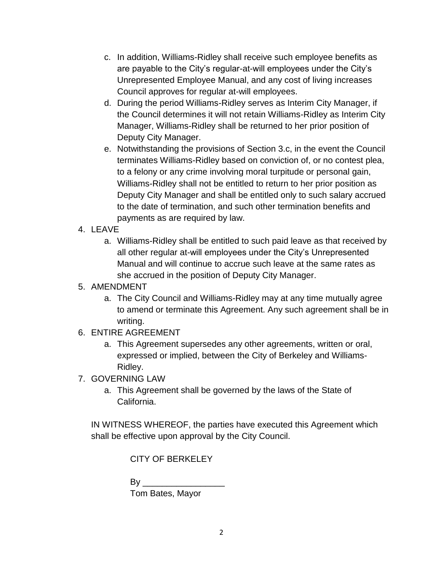- c. In addition, Williams-Ridley shall receive such employee benefits as are payable to the City's regular-at-will employees under the City's Unrepresented Employee Manual, and any cost of living increases Council approves for regular at-will employees.
- d. During the period Williams-Ridley serves as Interim City Manager, if the Council determines it will not retain Williams-Ridley as Interim City Manager, Williams-Ridley shall be returned to her prior position of Deputy City Manager.
- e. Notwithstanding the provisions of Section 3.c, in the event the Council terminates Williams-Ridley based on conviction of, or no contest plea, to a felony or any crime involving moral turpitude or personal gain, Williams-Ridley shall not be entitled to return to her prior position as Deputy City Manager and shall be entitled only to such salary accrued to the date of termination, and such other termination benefits and payments as are required by law.

# 4. LEAVE

a. Williams-Ridley shall be entitled to such paid leave as that received by all other regular at-will employees under the City's Unrepresented Manual and will continue to accrue such leave at the same rates as she accrued in the position of Deputy City Manager.

## 5. AMENDMENT

- a. The City Council and Williams-Ridley may at any time mutually agree to amend or terminate this Agreement. Any such agreement shall be in writing.
- 6. ENTIRE AGREEMENT
	- a. This Agreement supersedes any other agreements, written or oral, expressed or implied, between the City of Berkeley and Williams-Ridley.
- 7. GOVERNING LAW
	- a. This Agreement shall be governed by the laws of the State of California.

IN WITNESS WHEREOF, the parties have executed this Agreement which shall be effective upon approval by the City Council.

CITY OF BERKELEY

| By               |  |
|------------------|--|
| Tom Bates, Mayor |  |